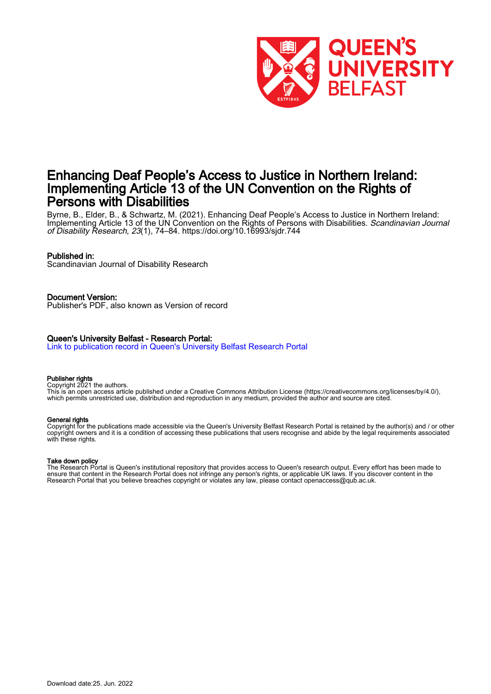

## Enhancing Deaf People's Access to Justice in Northern Ireland: Implementing Article 13 of the UN Convention on the Rights of Persons with Disabilities

Byrne, B., Elder, B., & Schwartz, M. (2021). Enhancing Deaf People's Access to Justice in Northern Ireland: Implementing Article 13 of the UN Convention on the Rights of Persons with Disabilities. *Scandinavian Journal* of Disability Research, 23(1), 74–84. <https://doi.org/10.16993/sjdr.744>

#### Published in:

Scandinavian Journal of Disability Research

#### Document Version:

Publisher's PDF, also known as Version of record

#### Queen's University Belfast - Research Portal:

[Link to publication record in Queen's University Belfast Research Portal](https://pure.qub.ac.uk/en/publications/a5629372-cd94-4090-b382-a714636c00f5)

#### Publisher rights

Copyright 2021 the authors.

This is an open access article published under a Creative Commons Attribution License (https://creativecommons.org/licenses/by/4.0/), which permits unrestricted use, distribution and reproduction in any medium, provided the author and source are cited.

#### General rights

Copyright for the publications made accessible via the Queen's University Belfast Research Portal is retained by the author(s) and / or other copyright owners and it is a condition of accessing these publications that users recognise and abide by the legal requirements associated with these rights.

#### Take down policy

The Research Portal is Queen's institutional repository that provides access to Queen's research output. Every effort has been made to ensure that content in the Research Portal does not infringe any person's rights, or applicable UK laws. If you discover content in the Research Portal that you believe breaches copyright or violates any law, please contact openaccess@qub.ac.uk.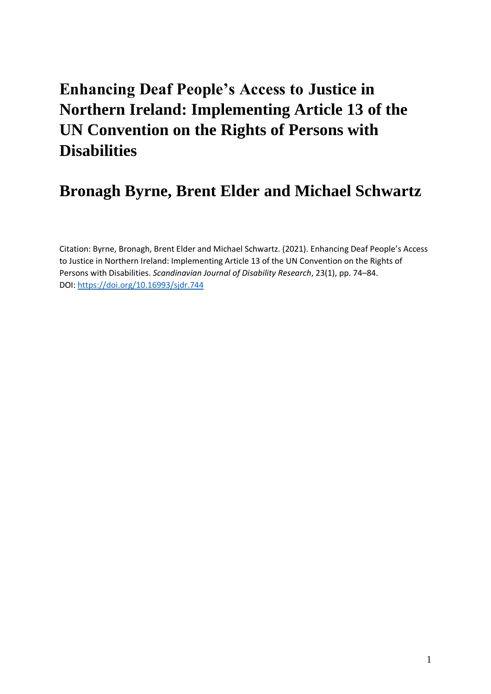# **Enhancing Deaf People's Access to Justice in Northern Ireland: Implementing Article 13 of the UN Convention on the Rights of Persons with Disabilities**

# **Bronagh Byrne, Brent Elder and Michael Schwartz**

Citation: Byrne, Bronagh, Brent Elder and Michael Schwartz. (2021). Enhancing Deaf People's Access to Justice in Northern Ireland: Implementing Article 13 of the UN Convention on the Rights of Persons with Disabilities. *Scandinavian Journal of Disability Research*, 23(1), pp. 74–84. DOI: [https://doi.org/10.16993/sjdr.744](https://eur02.safelinks.protection.outlook.com/?url=https%3A%2F%2Fdoi.org%2F10.16993%2Fsjdr.744&data=04%7C01%7Cb.byrne%40qub.ac.uk%7Cdfd3f44b7fee4ec64e4d08d8e24a6582%7Ceaab77eab4a549e3a1e8d6dd23a1f286%7C0%7C0%7C637508157383559309%7CUnknown%7CTWFpbGZsb3d8eyJWIjoiMC4wLjAwMDAiLCJQIjoiV2luMzIiLCJBTiI6Ik1haWwiLCJXVCI6Mn0%3D%7C3000&sdata=4hjDDeSkrPbD93qKl8aStOZM2qgB6WJOjvdLiSa7v3A%3D&reserved=0)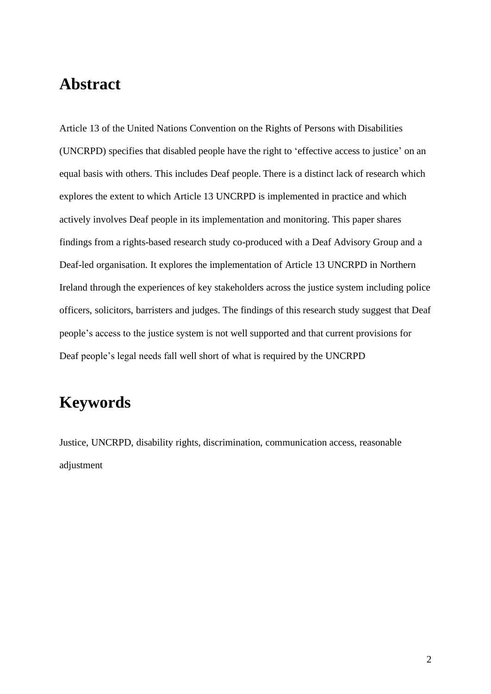## **Abstract**

Article 13 of the United Nations Convention on the Rights of Persons with Disabilities (UNCRPD) specifies that disabled people have the right to 'effective access to justice' on an equal basis with others. This includes Deaf people. There is a distinct lack of research which explores the extent to which Article 13 UNCRPD is implemented in practice and which actively involves Deaf people in its implementation and monitoring. This paper shares findings from a rights-based research study co-produced with a Deaf Advisory Group and a Deaf-led organisation. It explores the implementation of Article 13 UNCRPD in Northern Ireland through the experiences of key stakeholders across the justice system including police officers, solicitors, barristers and judges. The findings of this research study suggest that Deaf people's access to the justice system is not well supported and that current provisions for Deaf people's legal needs fall well short of what is required by the UNCRPD

## **Keywords**

Justice, UNCRPD, disability rights, discrimination, communication access, reasonable adjustment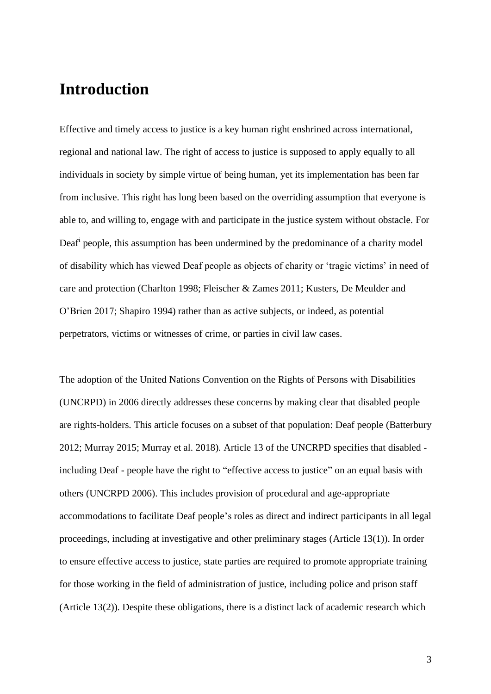## **Introduction**

Effective and timely access to justice is a key human right enshrined across international, regional and national law. The right of access to justice is supposed to apply equally to all individuals in society by simple virtue of being human, yet its implementation has been far from inclusive. This right has long been based on the overriding assumption that everyone is able to, and willing to, engage with and participate in the justice system without obstacle. For Deaf<sup>i</sup> people, this assumption has been undermined by the predominance of a charity model of disability which has viewed Deaf people as objects of charity or 'tragic victims' in need of care and protection (Charlton 1998; Fleischer & Zames 2011; Kusters, De Meulder and O'Brien 2017; Shapiro 1994) rather than as active subjects, or indeed, as potential perpetrators, victims or witnesses of crime, or parties in civil law cases.

The adoption of the United Nations Convention on the Rights of Persons with Disabilities (UNCRPD) in 2006 directly addresses these concerns by making clear that disabled people are rights-holders. This article focuses on a subset of that population: Deaf people (Batterbury 2012; Murray 2015; Murray et al. 2018). Article 13 of the UNCRPD specifies that disabled including Deaf - people have the right to "effective access to justice" on an equal basis with others (UNCRPD 2006). This includes provision of procedural and age-appropriate accommodations to facilitate Deaf people's roles as direct and indirect participants in all legal proceedings, including at investigative and other preliminary stages (Article 13(1)). In order to ensure effective access to justice, state parties are required to promote appropriate training for those working in the field of administration of justice, including police and prison staff (Article 13(2)). Despite these obligations, there is a distinct lack of academic research which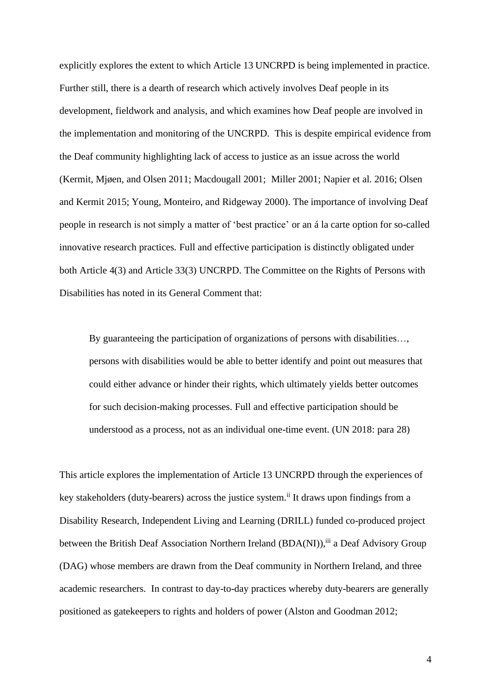explicitly explores the extent to which Article 13 UNCRPD is being implemented in practice. Further still, there is a dearth of research which actively involves Deaf people in its development, fieldwork and analysis, and which examines how Deaf people are involved in the implementation and monitoring of the UNCRPD. This is despite empirical evidence from the Deaf community highlighting lack of access to justice as an issue across the world (Kermit, Mjøen, and Olsen 2011; Macdougall 2001; Miller 2001; Napier et al. 2016; Olsen and Kermit 2015; Young, Monteiro, and Ridgeway 2000). The importance of involving Deaf people in research is not simply a matter of 'best practice' or an á la carte option for so-called innovative research practices. Full and effective participation is distinctly obligated under both Article 4(3) and Article 33(3) UNCRPD. The Committee on the Rights of Persons with Disabilities has noted in its General Comment that:

By guaranteeing the participation of organizations of persons with disabilities..., persons with disabilities would be able to better identify and point out measures that could either advance or hinder their rights, which ultimately yields better outcomes for such decision-making processes. Full and effective participation should be understood as a process, not as an individual one-time event. (UN 2018: para 28)

This article explores the implementation of Article 13 UNCRPD through the experiences of key stakeholders (duty-bearers) across the justice system.<sup>ii</sup> It draws upon findings from a Disability Research, Independent Living and Learning (DRILL) funded co-produced project between the British Deaf Association Northern Ireland (BDA(NI)), iii a Deaf Advisory Group (DAG) whose members are drawn from the Deaf community in Northern Ireland, and three academic researchers. In contrast to day-to-day practices whereby duty-bearers are generally positioned as gatekeepers to rights and holders of power (Alston and Goodman 2012;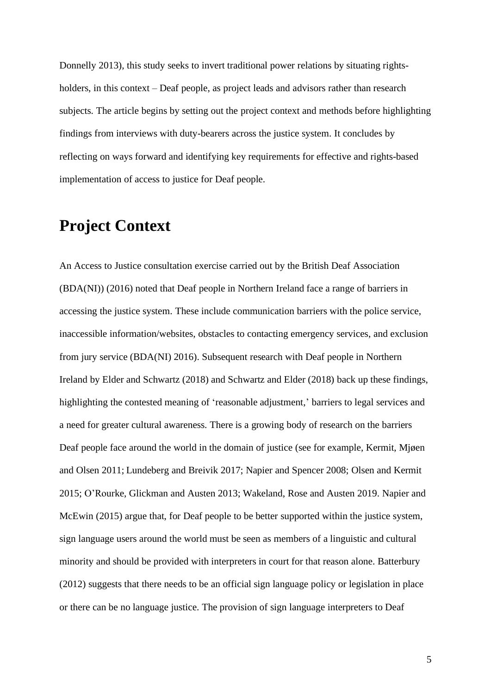Donnelly 2013), this study seeks to invert traditional power relations by situating rightsholders, in this context – Deaf people, as project leads and advisors rather than research subjects. The article begins by setting out the project context and methods before highlighting findings from interviews with duty-bearers across the justice system. It concludes by reflecting on ways forward and identifying key requirements for effective and rights-based implementation of access to justice for Deaf people.

## **Project Context**

An Access to Justice consultation exercise carried out by the British Deaf Association (BDA(NI)) (2016) noted that Deaf people in Northern Ireland face a range of barriers in accessing the justice system. These include communication barriers with the police service, inaccessible information/websites, obstacles to contacting emergency services, and exclusion from jury service (BDA(NI) 2016). Subsequent research with Deaf people in Northern Ireland by Elder and Schwartz (2018) and Schwartz and Elder (2018) back up these findings, highlighting the contested meaning of 'reasonable adjustment,' barriers to legal services and a need for greater cultural awareness. There is a growing body of research on the barriers Deaf people face around the world in the domain of justice (see for example, Kermit, Mjøen and Olsen 2011; Lundeberg and Breivik 2017; Napier and Spencer 2008; Olsen and Kermit 2015; O'Rourke, Glickman and Austen 2013; Wakeland, Rose and Austen 2019. Napier and McEwin (2015) argue that, for Deaf people to be better supported within the justice system, sign language users around the world must be seen as members of a linguistic and cultural minority and should be provided with interpreters in court for that reason alone. Batterbury (2012) suggests that there needs to be an official sign language policy or legislation in place or there can be no language justice. The provision of sign language interpreters to Deaf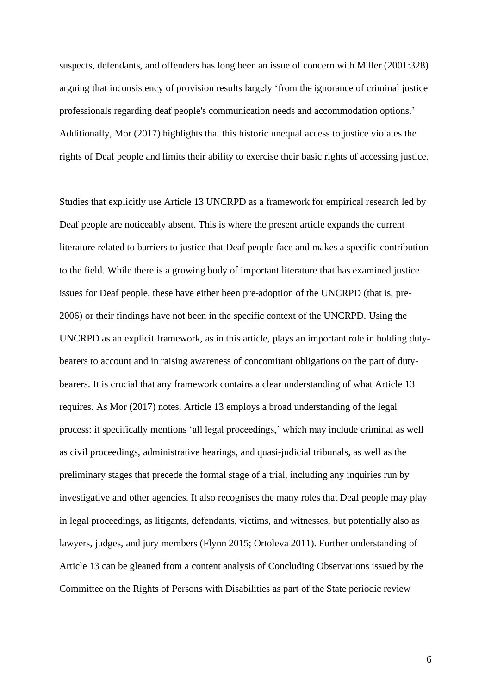suspects, defendants, and offenders has long been an issue of concern with Miller (2001:328) arguing that inconsistency of provision results largely 'from the ignorance of criminal justice professionals regarding deaf people's communication needs and accommodation options.' Additionally, Mor (2017) highlights that this historic unequal access to justice violates the rights of Deaf people and limits their ability to exercise their basic rights of accessing justice.

Studies that explicitly use Article 13 UNCRPD as a framework for empirical research led by Deaf people are noticeably absent. This is where the present article expands the current literature related to barriers to justice that Deaf people face and makes a specific contribution to the field. While there is a growing body of important literature that has examined justice issues for Deaf people, these have either been pre-adoption of the UNCRPD (that is, pre-2006) or their findings have not been in the specific context of the UNCRPD. Using the UNCRPD as an explicit framework, as in this article, plays an important role in holding dutybearers to account and in raising awareness of concomitant obligations on the part of dutybearers. It is crucial that any framework contains a clear understanding of what Article 13 requires. As Mor (2017) notes, Article 13 employs a broad understanding of the legal process: it specifically mentions 'all legal proceedings,' which may include criminal as well as civil proceedings, administrative hearings, and quasi-judicial tribunals, as well as the preliminary stages that precede the formal stage of a trial, including any inquiries run by investigative and other agencies. It also recognises the many roles that Deaf people may play in legal proceedings, as litigants, defendants, victims, and witnesses, but potentially also as lawyers, judges, and jury members (Flynn 2015; Ortoleva 2011). Further understanding of Article 13 can be gleaned from a content analysis of Concluding Observations issued by the Committee on the Rights of Persons with Disabilities as part of the State periodic review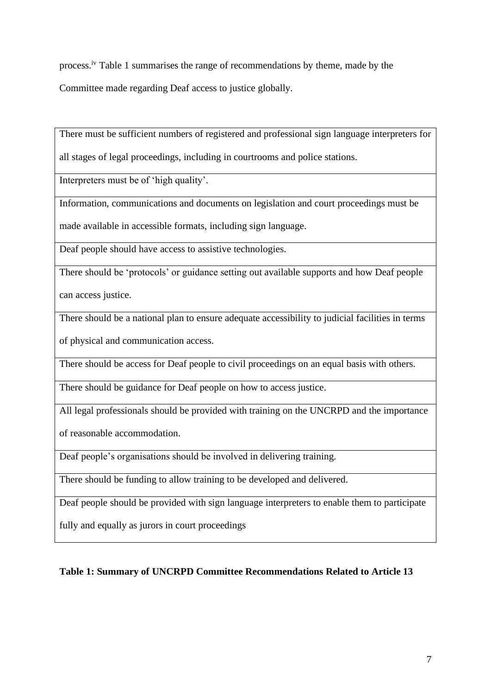process.iv Table 1 summarises the range of recommendations by theme, made by the Committee made regarding Deaf access to justice globally.

There must be sufficient numbers of registered and professional sign language interpreters for

all stages of legal proceedings, including in courtrooms and police stations.

Interpreters must be of 'high quality'.

Information, communications and documents on legislation and court proceedings must be

made available in accessible formats, including sign language.

Deaf people should have access to assistive technologies.

There should be 'protocols' or guidance setting out available supports and how Deaf people can access justice.

There should be a national plan to ensure adequate accessibility to judicial facilities in terms

of physical and communication access.

There should be access for Deaf people to civil proceedings on an equal basis with others.

There should be guidance for Deaf people on how to access justice.

All legal professionals should be provided with training on the UNCRPD and the importance

of reasonable accommodation.

Deaf people's organisations should be involved in delivering training.

There should be funding to allow training to be developed and delivered.

Deaf people should be provided with sign language interpreters to enable them to participate

fully and equally as jurors in court proceedings

**Table 1: Summary of UNCRPD Committee Recommendations Related to Article 13**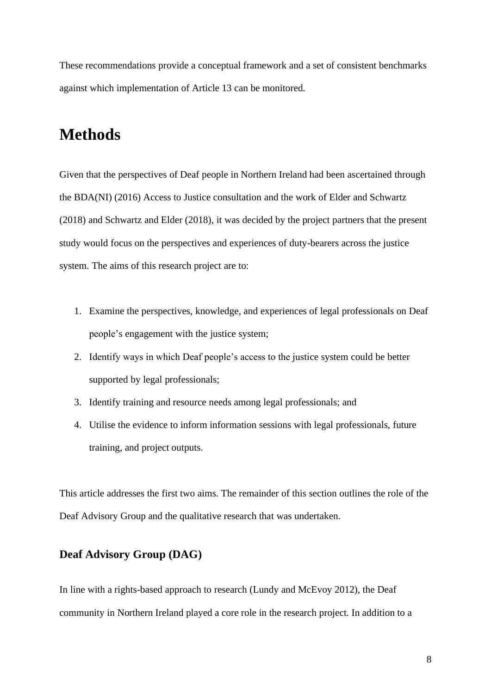These recommendations provide a conceptual framework and a set of consistent benchmarks against which implementation of Article 13 can be monitored.

## **Methods**

Given that the perspectives of Deaf people in Northern Ireland had been ascertained through the BDA(NI) (2016) Access to Justice consultation and the work of Elder and Schwartz (2018) and Schwartz and Elder (2018), it was decided by the project partners that the present study would focus on the perspectives and experiences of duty-bearers across the justice system. The aims of this research project are to:

- 1. Examine the perspectives, knowledge, and experiences of legal professionals on Deaf people's engagement with the justice system;
- 2. Identify ways in which Deaf people's access to the justice system could be better supported by legal professionals;
- 3. Identify training and resource needs among legal professionals; and
- 4. Utilise the evidence to inform information sessions with legal professionals, future training, and project outputs.

This article addresses the first two aims. The remainder of this section outlines the role of the Deaf Advisory Group and the qualitative research that was undertaken.

### **Deaf Advisory Group (DAG)**

In line with a rights-based approach to research (Lundy and McEvoy 2012), the Deaf community in Northern Ireland played a core role in the research project. In addition to a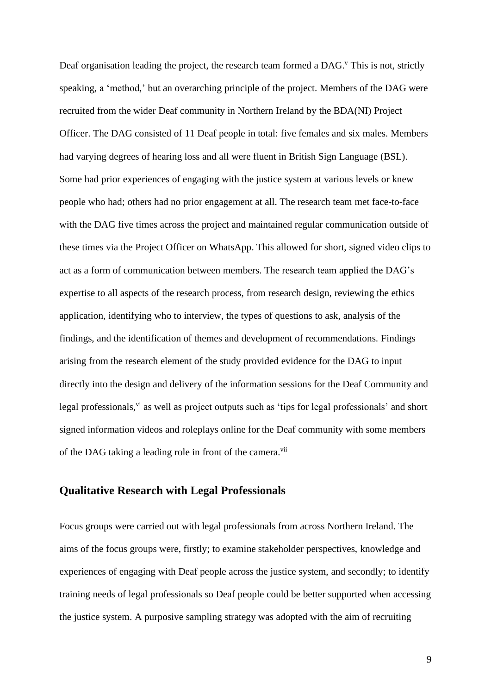Deaf organisation leading the project, the research team formed a DAG.<sup>V</sup> This is not, strictly speaking, a 'method,' but an overarching principle of the project. Members of the DAG were recruited from the wider Deaf community in Northern Ireland by the BDA(NI) Project Officer. The DAG consisted of 11 Deaf people in total: five females and six males. Members had varying degrees of hearing loss and all were fluent in British Sign Language (BSL). Some had prior experiences of engaging with the justice system at various levels or knew people who had; others had no prior engagement at all. The research team met face-to-face with the DAG five times across the project and maintained regular communication outside of these times via the Project Officer on WhatsApp. This allowed for short, signed video clips to act as a form of communication between members. The research team applied the DAG's expertise to all aspects of the research process, from research design, reviewing the ethics application, identifying who to interview, the types of questions to ask, analysis of the findings, and the identification of themes and development of recommendations. Findings arising from the research element of the study provided evidence for the DAG to input directly into the design and delivery of the information sessions for the Deaf Community and legal professionals, vi as well as project outputs such as 'tips for legal professionals' and short signed information videos and roleplays online for the Deaf community with some members of the DAG taking a leading role in front of the camera.<sup>vii</sup>

### **Qualitative Research with Legal Professionals**

Focus groups were carried out with legal professionals from across Northern Ireland. The aims of the focus groups were, firstly; to examine stakeholder perspectives, knowledge and experiences of engaging with Deaf people across the justice system, and secondly; to identify training needs of legal professionals so Deaf people could be better supported when accessing the justice system. A purposive sampling strategy was adopted with the aim of recruiting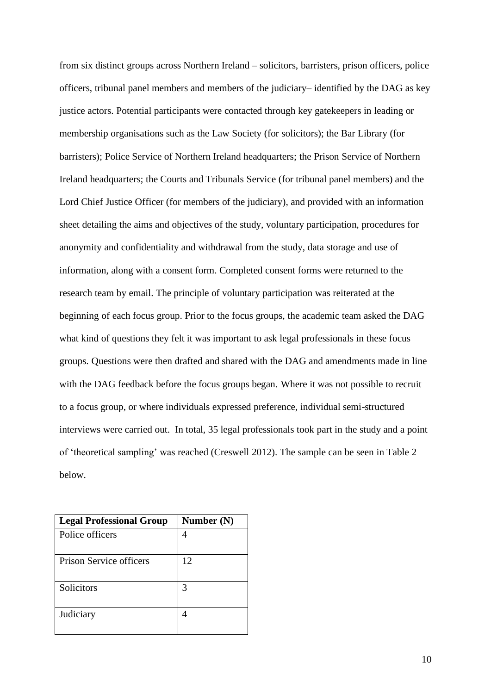from six distinct groups across Northern Ireland – solicitors, barristers, prison officers, police officers, tribunal panel members and members of the judiciary– identified by the DAG as key justice actors. Potential participants were contacted through key gatekeepers in leading or membership organisations such as the Law Society (for solicitors); the Bar Library (for barristers); Police Service of Northern Ireland headquarters; the Prison Service of Northern Ireland headquarters; the Courts and Tribunals Service (for tribunal panel members) and the Lord Chief Justice Officer (for members of the judiciary), and provided with an information sheet detailing the aims and objectives of the study, voluntary participation, procedures for anonymity and confidentiality and withdrawal from the study, data storage and use of information, along with a consent form. Completed consent forms were returned to the research team by email. The principle of voluntary participation was reiterated at the beginning of each focus group. Prior to the focus groups, the academic team asked the DAG what kind of questions they felt it was important to ask legal professionals in these focus groups. Questions were then drafted and shared with the DAG and amendments made in line with the DAG feedback before the focus groups began. Where it was not possible to recruit to a focus group, or where individuals expressed preference, individual semi-structured interviews were carried out. In total, 35 legal professionals took part in the study and a point of 'theoretical sampling' was reached (Creswell 2012). The sample can be seen in Table 2 below.

| <b>Legal Professional Group</b> | Number (N) |
|---------------------------------|------------|
| Police officers                 | 4          |
| Prison Service officers         | 12         |
| Solicitors                      | 3          |
| Judiciary                       |            |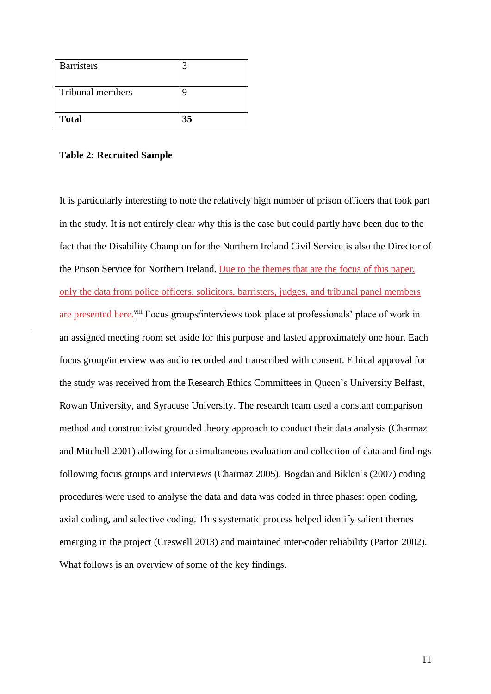| <b>Barristers</b> |    |
|-------------------|----|
| Tribunal members  |    |
| <b>Total</b>      | 35 |

#### **Table 2: Recruited Sample**

It is particularly interesting to note the relatively high number of prison officers that took part in the study. It is not entirely clear why this is the case but could partly have been due to the fact that the Disability Champion for the Northern Ireland Civil Service is also the Director of the Prison Service for Northern Ireland. Due to the themes that are the focus of this paper, only the data from police officers, solicitors, barristers, judges, and tribunal panel members are presented here.<sup>viii</sup> Focus groups/interviews took place at professionals' place of work in an assigned meeting room set aside for this purpose and lasted approximately one hour. Each focus group/interview was audio recorded and transcribed with consent. Ethical approval for the study was received from the Research Ethics Committees in Queen's University Belfast, Rowan University, and Syracuse University. The research team used a constant comparison method and constructivist grounded theory approach to conduct their data analysis (Charmaz and Mitchell 2001) allowing for a simultaneous evaluation and collection of data and findings following focus groups and interviews (Charmaz 2005). Bogdan and Biklen's (2007) coding procedures were used to analyse the data and data was coded in three phases: open coding, axial coding, and selective coding. This systematic process helped identify salient themes emerging in the project (Creswell 2013) and maintained inter-coder reliability (Patton 2002). What follows is an overview of some of the key findings.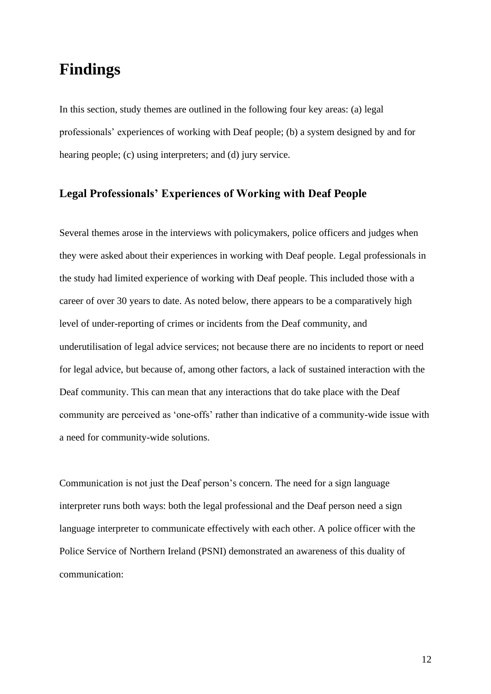## **Findings**

In this section, study themes are outlined in the following four key areas: (a) legal professionals' experiences of working with Deaf people; (b) a system designed by and for hearing people; (c) using interpreters; and (d) jury service.

### **Legal Professionals' Experiences of Working with Deaf People**

Several themes arose in the interviews with policymakers, police officers and judges when they were asked about their experiences in working with Deaf people. Legal professionals in the study had limited experience of working with Deaf people. This included those with a career of over 30 years to date. As noted below, there appears to be a comparatively high level of under-reporting of crimes or incidents from the Deaf community, and underutilisation of legal advice services; not because there are no incidents to report or need for legal advice, but because of, among other factors, a lack of sustained interaction with the Deaf community. This can mean that any interactions that do take place with the Deaf community are perceived as 'one-offs' rather than indicative of a community-wide issue with a need for community-wide solutions.

Communication is not just the Deaf person's concern. The need for a sign language interpreter runs both ways: both the legal professional and the Deaf person need a sign language interpreter to communicate effectively with each other. A police officer with the Police Service of Northern Ireland (PSNI) demonstrated an awareness of this duality of communication: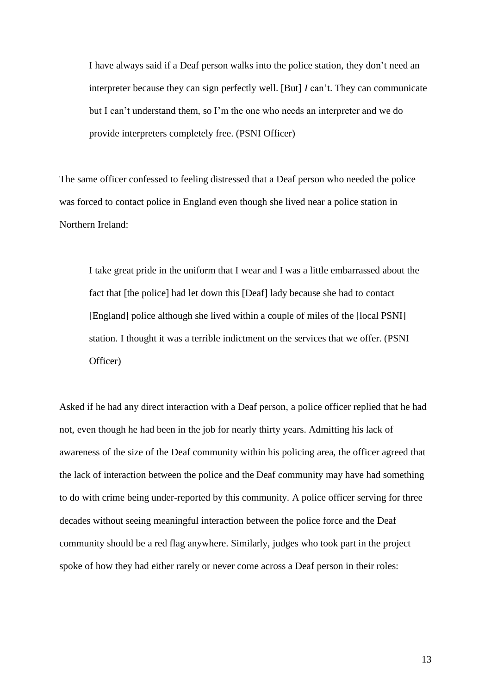I have always said if a Deaf person walks into the police station, they don't need an interpreter because they can sign perfectly well. [But] *I* can't. They can communicate but I can't understand them, so I'm the one who needs an interpreter and we do provide interpreters completely free. (PSNI Officer)

The same officer confessed to feeling distressed that a Deaf person who needed the police was forced to contact police in England even though she lived near a police station in Northern Ireland:

I take great pride in the uniform that I wear and I was a little embarrassed about the fact that [the police] had let down this [Deaf] lady because she had to contact [England] police although she lived within a couple of miles of the [local PSNI] station. I thought it was a terrible indictment on the services that we offer. (PSNI Officer)

Asked if he had any direct interaction with a Deaf person, a police officer replied that he had not, even though he had been in the job for nearly thirty years. Admitting his lack of awareness of the size of the Deaf community within his policing area, the officer agreed that the lack of interaction between the police and the Deaf community may have had something to do with crime being under-reported by this community. A police officer serving for three decades without seeing meaningful interaction between the police force and the Deaf community should be a red flag anywhere. Similarly, judges who took part in the project spoke of how they had either rarely or never come across a Deaf person in their roles: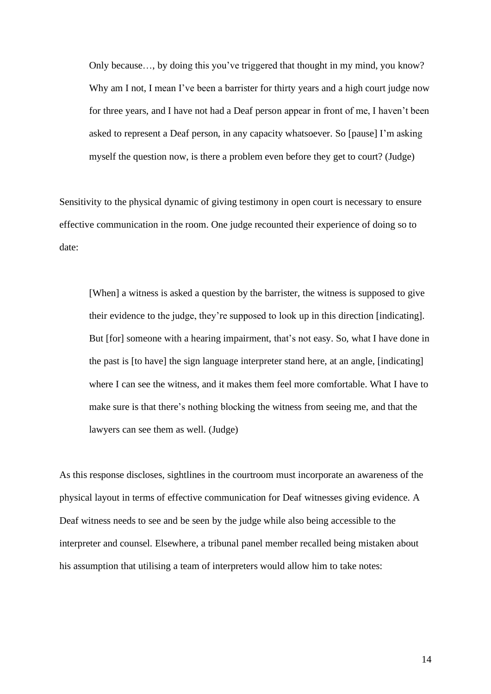Only because…, by doing this you've triggered that thought in my mind, you know? Why am I not, I mean I've been a barrister for thirty years and a high court judge now for three years, and I have not had a Deaf person appear in front of me, I haven't been asked to represent a Deaf person, in any capacity whatsoever. So [pause] I'm asking myself the question now, is there a problem even before they get to court? (Judge)

Sensitivity to the physical dynamic of giving testimony in open court is necessary to ensure effective communication in the room. One judge recounted their experience of doing so to date:

[When] a witness is asked a question by the barrister, the witness is supposed to give their evidence to the judge, they're supposed to look up in this direction [indicating]. But [for] someone with a hearing impairment, that's not easy. So, what I have done in the past is [to have] the sign language interpreter stand here, at an angle, [indicating] where I can see the witness, and it makes them feel more comfortable. What I have to make sure is that there's nothing blocking the witness from seeing me, and that the lawyers can see them as well. (Judge)

As this response discloses, sightlines in the courtroom must incorporate an awareness of the physical layout in terms of effective communication for Deaf witnesses giving evidence. A Deaf witness needs to see and be seen by the judge while also being accessible to the interpreter and counsel. Elsewhere, a tribunal panel member recalled being mistaken about his assumption that utilising a team of interpreters would allow him to take notes: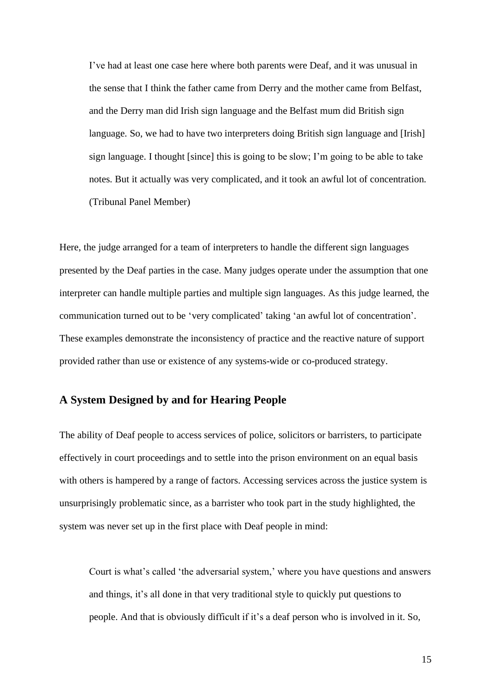I've had at least one case here where both parents were Deaf, and it was unusual in the sense that I think the father came from Derry and the mother came from Belfast, and the Derry man did Irish sign language and the Belfast mum did British sign language. So, we had to have two interpreters doing British sign language and [Irish] sign language. I thought [since] this is going to be slow; I'm going to be able to take notes. But it actually was very complicated, and it took an awful lot of concentration. (Tribunal Panel Member)

Here, the judge arranged for a team of interpreters to handle the different sign languages presented by the Deaf parties in the case. Many judges operate under the assumption that one interpreter can handle multiple parties and multiple sign languages. As this judge learned, the communication turned out to be 'very complicated' taking 'an awful lot of concentration'. These examples demonstrate the inconsistency of practice and the reactive nature of support provided rather than use or existence of any systems-wide or co-produced strategy.

### **A System Designed by and for Hearing People**

The ability of Deaf people to access services of police, solicitors or barristers, to participate effectively in court proceedings and to settle into the prison environment on an equal basis with others is hampered by a range of factors. Accessing services across the justice system is unsurprisingly problematic since, as a barrister who took part in the study highlighted, the system was never set up in the first place with Deaf people in mind:

Court is what's called 'the adversarial system,' where you have questions and answers and things, it's all done in that very traditional style to quickly put questions to people. And that is obviously difficult if it's a deaf person who is involved in it. So,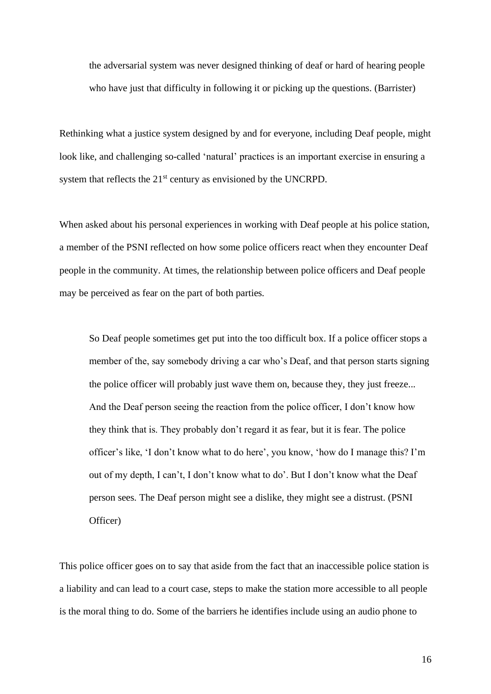the adversarial system was never designed thinking of deaf or hard of hearing people who have just that difficulty in following it or picking up the questions. (Barrister)

Rethinking what a justice system designed by and for everyone, including Deaf people, might look like, and challenging so-called 'natural' practices is an important exercise in ensuring a system that reflects the 21<sup>st</sup> century as envisioned by the UNCRPD.

When asked about his personal experiences in working with Deaf people at his police station, a member of the PSNI reflected on how some police officers react when they encounter Deaf people in the community. At times, the relationship between police officers and Deaf people may be perceived as fear on the part of both parties.

So Deaf people sometimes get put into the too difficult box. If a police officer stops a member of the, say somebody driving a car who's Deaf, and that person starts signing the police officer will probably just wave them on, because they, they just freeze... And the Deaf person seeing the reaction from the police officer, I don't know how they think that is. They probably don't regard it as fear, but it is fear. The police officer's like, 'I don't know what to do here', you know, 'how do I manage this? I'm out of my depth, I can't, I don't know what to do'. But I don't know what the Deaf person sees. The Deaf person might see a dislike, they might see a distrust. (PSNI Officer)

This police officer goes on to say that aside from the fact that an inaccessible police station is a liability and can lead to a court case, steps to make the station more accessible to all people is the moral thing to do. Some of the barriers he identifies include using an audio phone to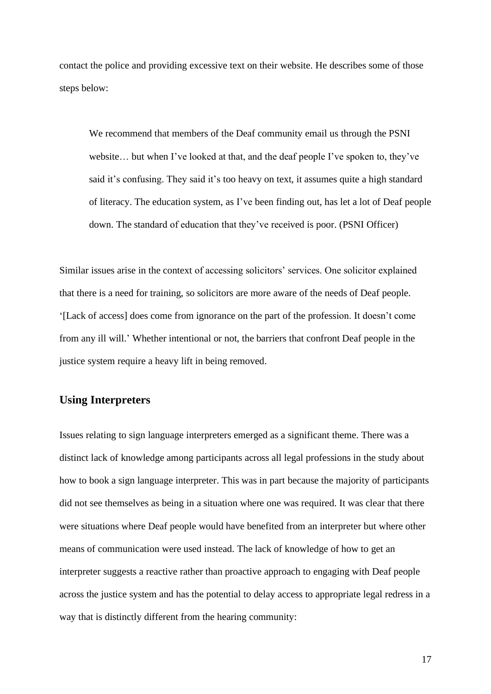contact the police and providing excessive text on their website. He describes some of those steps below:

We recommend that members of the Deaf community email us through the PSNI website… but when I've looked at that, and the deaf people I've spoken to, they've said it's confusing. They said it's too heavy on text, it assumes quite a high standard of literacy. The education system, as I've been finding out, has let a lot of Deaf people down. The standard of education that they've received is poor. (PSNI Officer)

Similar issues arise in the context of accessing solicitors' services. One solicitor explained that there is a need for training, so solicitors are more aware of the needs of Deaf people. '[Lack of access] does come from ignorance on the part of the profession. It doesn't come from any ill will.' Whether intentional or not, the barriers that confront Deaf people in the justice system require a heavy lift in being removed.

### **Using Interpreters**

Issues relating to sign language interpreters emerged as a significant theme. There was a distinct lack of knowledge among participants across all legal professions in the study about how to book a sign language interpreter. This was in part because the majority of participants did not see themselves as being in a situation where one was required. It was clear that there were situations where Deaf people would have benefited from an interpreter but where other means of communication were used instead. The lack of knowledge of how to get an interpreter suggests a reactive rather than proactive approach to engaging with Deaf people across the justice system and has the potential to delay access to appropriate legal redress in a way that is distinctly different from the hearing community: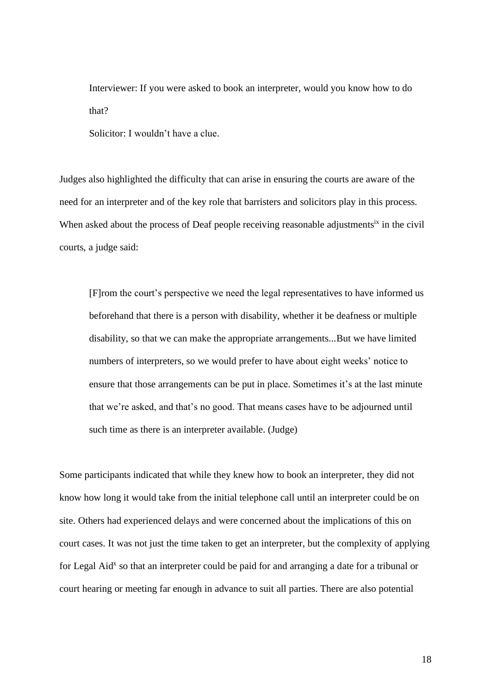Interviewer: If you were asked to book an interpreter, would you know how to do that?

Solicitor: I wouldn't have a clue.

Judges also highlighted the difficulty that can arise in ensuring the courts are aware of the need for an interpreter and of the key role that barristers and solicitors play in this process. When asked about the process of Deaf people receiving reasonable adjustments<sup>ix</sup> in the civil courts, a judge said:

[F]rom the court's perspective we need the legal representatives to have informed us beforehand that there is a person with disability, whether it be deafness or multiple disability, so that we can make the appropriate arrangements...But we have limited numbers of interpreters, so we would prefer to have about eight weeks' notice to ensure that those arrangements can be put in place. Sometimes it's at the last minute that we're asked, and that's no good. That means cases have to be adjourned until such time as there is an interpreter available. (Judge)

Some participants indicated that while they knew how to book an interpreter, they did not know how long it would take from the initial telephone call until an interpreter could be on site. Others had experienced delays and were concerned about the implications of this on court cases. It was not just the time taken to get an interpreter, but the complexity of applying for Legal Aid<sup>x</sup> so that an interpreter could be paid for and arranging a date for a tribunal or court hearing or meeting far enough in advance to suit all parties. There are also potential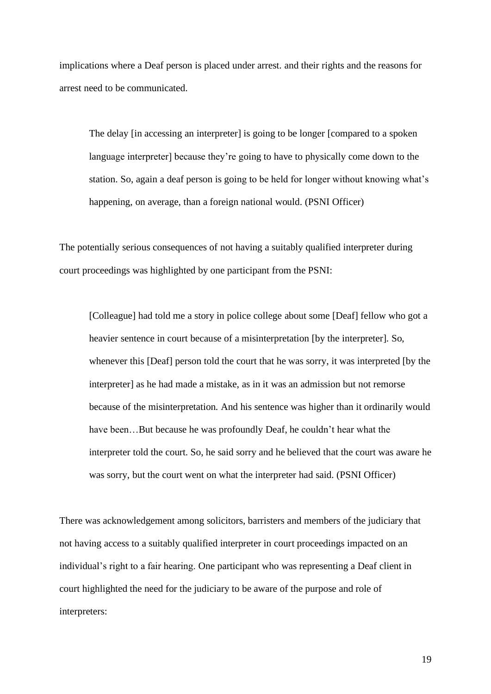implications where a Deaf person is placed under arrest. and their rights and the reasons for arrest need to be communicated.

The delay [in accessing an interpreter] is going to be longer [compared to a spoken language interpreter] because they're going to have to physically come down to the station. So, again a deaf person is going to be held for longer without knowing what's happening, on average, than a foreign national would. (PSNI Officer)

The potentially serious consequences of not having a suitably qualified interpreter during court proceedings was highlighted by one participant from the PSNI:

[Colleague] had told me a story in police college about some [Deaf] fellow who got a heavier sentence in court because of a misinterpretation [by the interpreter]. So, whenever this [Deaf] person told the court that he was sorry, it was interpreted [by the interpreter] as he had made a mistake, as in it was an admission but not remorse because of the misinterpretation. And his sentence was higher than it ordinarily would have been...But because he was profoundly Deaf, he couldn't hear what the interpreter told the court. So, he said sorry and he believed that the court was aware he was sorry, but the court went on what the interpreter had said. (PSNI Officer)

There was acknowledgement among solicitors, barristers and members of the judiciary that not having access to a suitably qualified interpreter in court proceedings impacted on an individual's right to a fair hearing. One participant who was representing a Deaf client in court highlighted the need for the judiciary to be aware of the purpose and role of interpreters: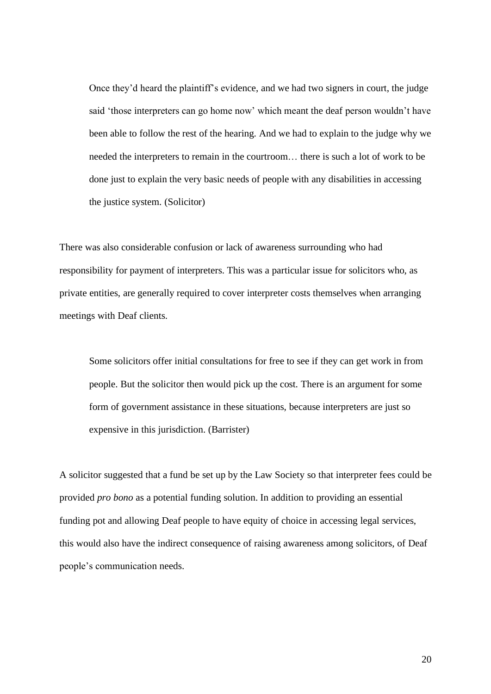Once they'd heard the plaintiff's evidence, and we had two signers in court, the judge said 'those interpreters can go home now' which meant the deaf person wouldn't have been able to follow the rest of the hearing. And we had to explain to the judge why we needed the interpreters to remain in the courtroom… there is such a lot of work to be done just to explain the very basic needs of people with any disabilities in accessing the justice system. (Solicitor)

There was also considerable confusion or lack of awareness surrounding who had responsibility for payment of interpreters. This was a particular issue for solicitors who, as private entities, are generally required to cover interpreter costs themselves when arranging meetings with Deaf clients.

Some solicitors offer initial consultations for free to see if they can get work in from people. But the solicitor then would pick up the cost. There is an argument for some form of government assistance in these situations, because interpreters are just so expensive in this jurisdiction. (Barrister)

A solicitor suggested that a fund be set up by the Law Society so that interpreter fees could be provided *pro bono* as a potential funding solution. In addition to providing an essential funding pot and allowing Deaf people to have equity of choice in accessing legal services, this would also have the indirect consequence of raising awareness among solicitors, of Deaf people's communication needs.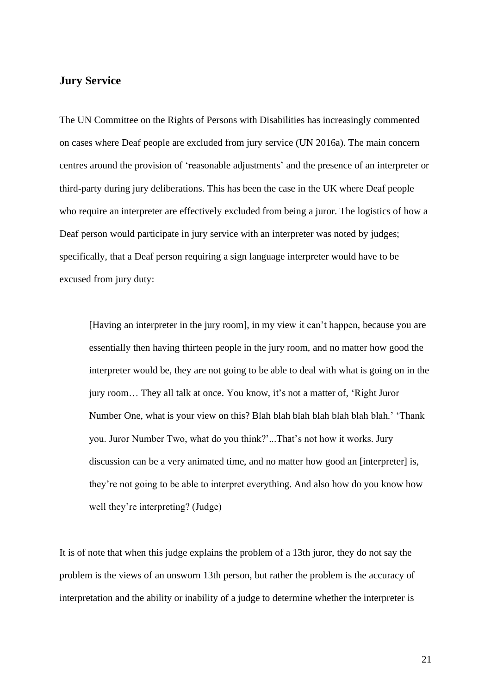### **Jury Service**

The UN Committee on the Rights of Persons with Disabilities has increasingly commented on cases where Deaf people are excluded from jury service (UN 2016a). The main concern centres around the provision of 'reasonable adjustments' and the presence of an interpreter or third-party during jury deliberations. This has been the case in the UK where Deaf people who require an interpreter are effectively excluded from being a juror. The logistics of how a Deaf person would participate in jury service with an interpreter was noted by judges; specifically, that a Deaf person requiring a sign language interpreter would have to be excused from jury duty:

[Having an interpreter in the jury room], in my view it can't happen, because you are essentially then having thirteen people in the jury room, and no matter how good the interpreter would be, they are not going to be able to deal with what is going on in the jury room… They all talk at once. You know, it's not a matter of, 'Right Juror Number One, what is your view on this? Blah blah blah blah blah blah blah.' 'Thank you. Juror Number Two, what do you think?'...That's not how it works. Jury discussion can be a very animated time, and no matter how good an [interpreter] is, they're not going to be able to interpret everything. And also how do you know how well they're interpreting? (Judge)

It is of note that when this judge explains the problem of a 13th juror, they do not say the problem is the views of an unsworn 13th person, but rather the problem is the accuracy of interpretation and the ability or inability of a judge to determine whether the interpreter is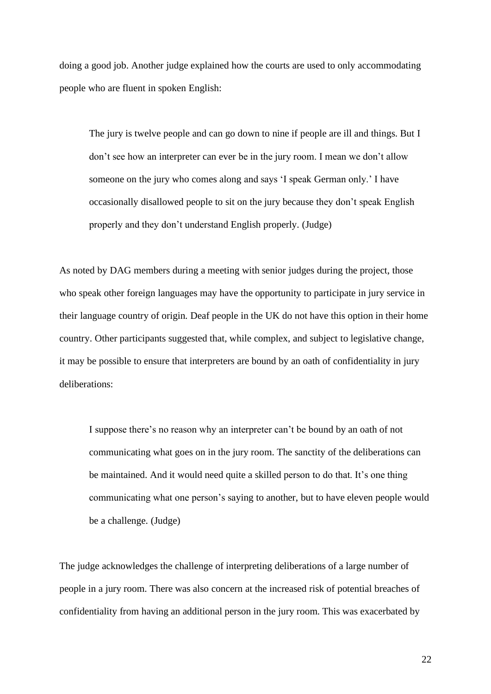doing a good job. Another judge explained how the courts are used to only accommodating people who are fluent in spoken English:

The jury is twelve people and can go down to nine if people are ill and things. But I don't see how an interpreter can ever be in the jury room. I mean we don't allow someone on the jury who comes along and says 'I speak German only.' I have occasionally disallowed people to sit on the jury because they don't speak English properly and they don't understand English properly. (Judge)

As noted by DAG members during a meeting with senior judges during the project, those who speak other foreign languages may have the opportunity to participate in jury service in their language country of origin. Deaf people in the UK do not have this option in their home country. Other participants suggested that, while complex, and subject to legislative change, it may be possible to ensure that interpreters are bound by an oath of confidentiality in jury deliberations:

I suppose there's no reason why an interpreter can't be bound by an oath of not communicating what goes on in the jury room. The sanctity of the deliberations can be maintained. And it would need quite a skilled person to do that. It's one thing communicating what one person's saying to another, but to have eleven people would be a challenge. (Judge)

The judge acknowledges the challenge of interpreting deliberations of a large number of people in a jury room. There was also concern at the increased risk of potential breaches of confidentiality from having an additional person in the jury room. This was exacerbated by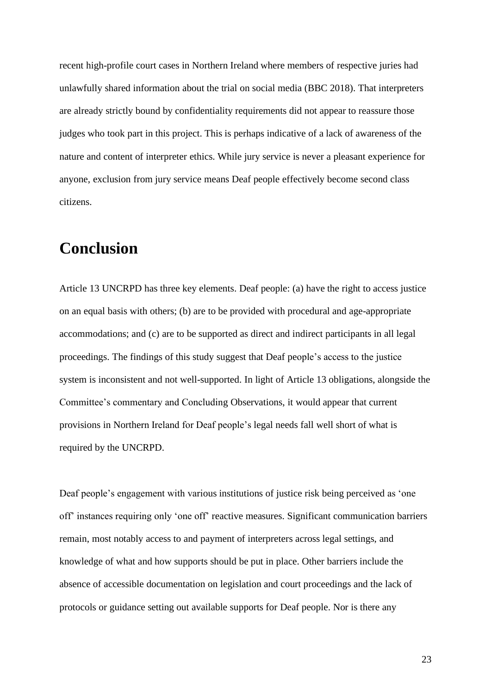recent high-profile court cases in Northern Ireland where members of respective juries had unlawfully shared information about the trial on social media (BBC 2018). That interpreters are already strictly bound by confidentiality requirements did not appear to reassure those judges who took part in this project. This is perhaps indicative of a lack of awareness of the nature and content of interpreter ethics. While jury service is never a pleasant experience for anyone, exclusion from jury service means Deaf people effectively become second class citizens.

## **Conclusion**

Article 13 UNCRPD has three key elements. Deaf people: (a) have the right to access justice on an equal basis with others; (b) are to be provided with procedural and age-appropriate accommodations; and (c) are to be supported as direct and indirect participants in all legal proceedings. The findings of this study suggest that Deaf people's access to the justice system is inconsistent and not well-supported. In light of Article 13 obligations, alongside the Committee's commentary and Concluding Observations, it would appear that current provisions in Northern Ireland for Deaf people's legal needs fall well short of what is required by the UNCRPD.

Deaf people's engagement with various institutions of justice risk being perceived as 'one off' instances requiring only 'one off' reactive measures. Significant communication barriers remain, most notably access to and payment of interpreters across legal settings, and knowledge of what and how supports should be put in place. Other barriers include the absence of accessible documentation on legislation and court proceedings and the lack of protocols or guidance setting out available supports for Deaf people. Nor is there any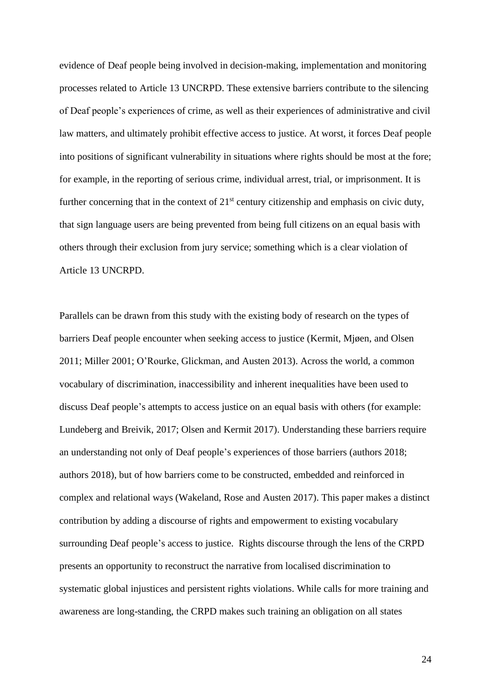evidence of Deaf people being involved in decision-making, implementation and monitoring processes related to Article 13 UNCRPD. These extensive barriers contribute to the silencing of Deaf people's experiences of crime, as well as their experiences of administrative and civil law matters, and ultimately prohibit effective access to justice. At worst, it forces Deaf people into positions of significant vulnerability in situations where rights should be most at the fore; for example, in the reporting of serious crime, individual arrest, trial, or imprisonment. It is further concerning that in the context of 21<sup>st</sup> century citizenship and emphasis on civic duty, that sign language users are being prevented from being full citizens on an equal basis with others through their exclusion from jury service; something which is a clear violation of Article 13 UNCRPD.

Parallels can be drawn from this study with the existing body of research on the types of barriers Deaf people encounter when seeking access to justice (Kermit, Mjøen, and Olsen 2011; Miller 2001; O'Rourke, Glickman, and Austen 2013). Across the world, a common vocabulary of discrimination, inaccessibility and inherent inequalities have been used to discuss Deaf people's attempts to access justice on an equal basis with others (for example: Lundeberg and Breivik, 2017; Olsen and Kermit 2017). Understanding these barriers require an understanding not only of Deaf people's experiences of those barriers (authors 2018; authors 2018), but of how barriers come to be constructed, embedded and reinforced in complex and relational ways (Wakeland, Rose and Austen 2017). This paper makes a distinct contribution by adding a discourse of rights and empowerment to existing vocabulary surrounding Deaf people's access to justice. Rights discourse through the lens of the CRPD presents an opportunity to reconstruct the narrative from localised discrimination to systematic global injustices and persistent rights violations. While calls for more training and awareness are long-standing, the CRPD makes such training an obligation on all states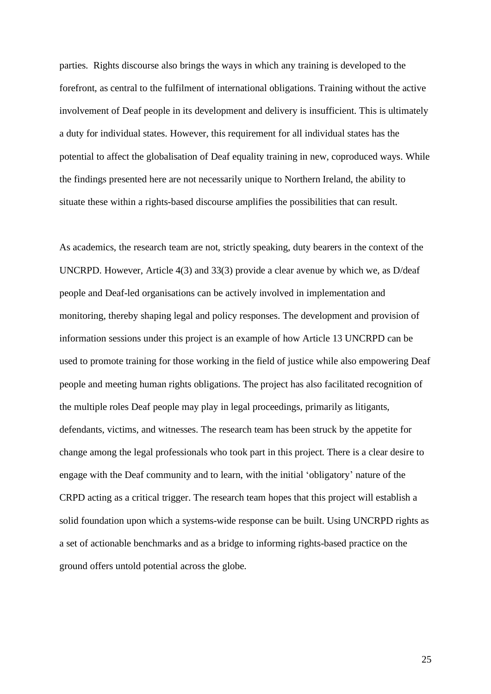parties. Rights discourse also brings the ways in which any training is developed to the forefront, as central to the fulfilment of international obligations. Training without the active involvement of Deaf people in its development and delivery is insufficient. This is ultimately a duty for individual states. However, this requirement for all individual states has the potential to affect the globalisation of Deaf equality training in new, coproduced ways. While the findings presented here are not necessarily unique to Northern Ireland, the ability to situate these within a rights-based discourse amplifies the possibilities that can result.

As academics, the research team are not, strictly speaking, duty bearers in the context of the UNCRPD. However, Article 4(3) and 33(3) provide a clear avenue by which we, as D/deaf people and Deaf-led organisations can be actively involved in implementation and monitoring, thereby shaping legal and policy responses. The development and provision of information sessions under this project is an example of how Article 13 UNCRPD can be used to promote training for those working in the field of justice while also empowering Deaf people and meeting human rights obligations. The project has also facilitated recognition of the multiple roles Deaf people may play in legal proceedings, primarily as litigants, defendants, victims, and witnesses. The research team has been struck by the appetite for change among the legal professionals who took part in this project. There is a clear desire to engage with the Deaf community and to learn, with the initial 'obligatory' nature of the CRPD acting as a critical trigger. The research team hopes that this project will establish a solid foundation upon which a systems-wide response can be built. Using UNCRPD rights as a set of actionable benchmarks and as a bridge to informing rights-based practice on the ground offers untold potential across the globe.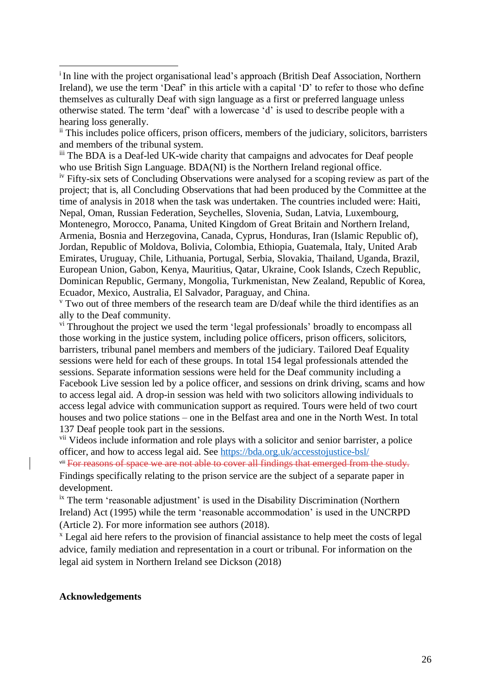ii This includes police officers, prison officers, members of the judiciary, solicitors, barristers and members of the tribunal system.

iii The BDA is a Deaf-led UK-wide charity that campaigns and advocates for Deaf people who use British Sign Language. BDA(NI) is the Northern Ireland regional office.

<sup>iv</sup> Fifty-six sets of Concluding Observations were analysed for a scoping review as part of the project; that is, all Concluding Observations that had been produced by the Committee at the time of analysis in 2018 when the task was undertaken. The countries included were: Haiti, Nepal, Oman, Russian Federation, Seychelles, Slovenia, Sudan, Latvia, Luxembourg, Montenegro, Morocco, Panama, United Kingdom of Great Britain and Northern Ireland, Armenia, Bosnia and Herzegovina, Canada, Cyprus, Honduras, Iran (Islamic Republic of), Jordan, Republic of Moldova, Bolivia, Colombia, Ethiopia, Guatemala, Italy, United Arab Emirates, Uruguay, Chile, Lithuania, Portugal, Serbia, Slovakia, Thailand, Uganda, Brazil, European Union, Gabon, Kenya, Mauritius, Qatar, Ukraine, Cook Islands, Czech Republic, Dominican Republic, Germany, Mongolia, Turkmenistan, New Zealand, Republic of Korea, Ecuador, Mexico, Australia, El Salvador, Paraguay, and China.

 $\overline{v}$  Two out of three members of the research team are D/deaf while the third identifies as an ally to the Deaf community.

<sup>vi</sup> Throughout the project we used the term 'legal professionals' broadly to encompass all those working in the justice system, including police officers, prison officers, solicitors, barristers, tribunal panel members and members of the judiciary. Tailored Deaf Equality sessions were held for each of these groups. In total 154 legal professionals attended the sessions. Separate information sessions were held for the Deaf community including a Facebook Live session led by a police officer, and sessions on drink driving, scams and how to access legal aid. A drop-in session was held with two solicitors allowing individuals to access legal advice with communication support as required. Tours were held of two court houses and two police stations – one in the Belfast area and one in the North West. In total 137 Deaf people took part in the sessions.

<sup>vii</sup> Videos include information and role plays with a solicitor and senior barrister, a police officer, and how to access legal aid. See<https://bda.org.uk/accesstojustice-bsl/>

viii For reasons of space we are not able to cover all findings that emerged from the study. Findings specifically relating to the prison service are the subject of a separate paper in development.

<sup>ix</sup> The term 'reasonable adjustment' is used in the Disability Discrimination (Northern Ireland) Act (1995) while the term 'reasonable accommodation' is used in the UNCRPD (Article 2). For more information see authors (2018).

<sup>x</sup> Legal aid here refers to the provision of financial assistance to help meet the costs of legal advice, family mediation and representation in a court or tribunal. For information on the legal aid system in Northern Ireland see Dickson (2018)

#### **Acknowledgements**

<sup>&</sup>lt;sup>i</sup> In line with the project organisational lead's approach (British Deaf Association, Northern Ireland), we use the term 'Deaf' in this article with a capital 'D' to refer to those who define themselves as culturally Deaf with sign language as a first or preferred language unless otherwise stated. The term 'deaf' with a lowercase 'd' is used to describe people with a hearing loss generally.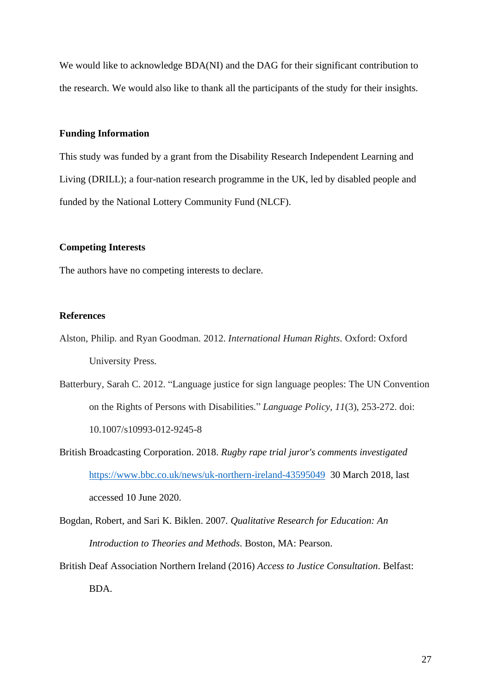We would like to acknowledge BDA(NI) and the DAG for their significant contribution to the research. We would also like to thank all the participants of the study for their insights.

#### **Funding Information**

This study was funded by a grant from the Disability Research Independent Learning and Living (DRILL); a four-nation research programme in the UK, led by disabled people and funded by the National Lottery Community Fund (NLCF).

### **Competing Interests**

The authors have no competing interests to declare.

### **References**

- Alston, Philip. and Ryan Goodman. 2012. *International Human Rights*. Oxford: Oxford University Press.
- Batterbury, Sarah C. 2012. "Language justice for sign language peoples: The UN Convention on the Rights of Persons with Disabilities." *Language Policy*, *11*(3), 253-272. doi: 10.1007/s10993-012-9245-8
- British Broadcasting Corporation. 2018. *Rugby rape trial juror's comments investigated* <https://www.bbc.co.uk/news/uk-northern-ireland-43595049> 30 March 2018, last accessed 10 June 2020.
- Bogdan, Robert, and Sari K. Biklen. 2007. *Qualitative Research for Education: An Introduction to Theories and Methods*. Boston, MA: Pearson.
- British Deaf Association Northern Ireland (2016) *Access to Justice Consultation*. Belfast: BDA.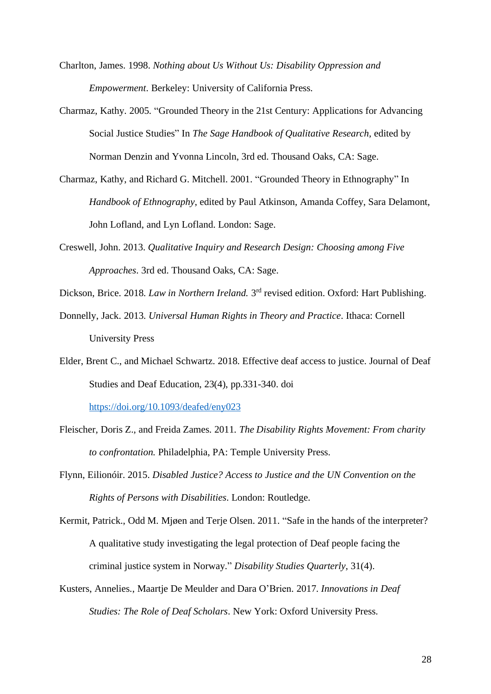Charlton, James. 1998. *Nothing about Us Without Us: Disability Oppression and Empowerment*. Berkeley: University of California Press.

- Charmaz, Kathy. 2005. "Grounded Theory in the 21st Century: Applications for Advancing Social Justice Studies" In *The Sage Handbook of Qualitative Research*, edited by Norman Denzin and Yvonna Lincoln, 3rd ed. Thousand Oaks, CA: Sage.
- Charmaz, Kathy, and Richard G. Mitchell. 2001. "Grounded Theory in Ethnography" In *Handbook of Ethnography*, edited by Paul Atkinson, Amanda Coffey, Sara Delamont, John Lofland, and Lyn Lofland. London: Sage.
- Creswell, John. 2013. *Qualitative Inquiry and Research Design: Choosing among Five Approaches*. 3rd ed. Thousand Oaks, CA: Sage.
- Dickson, Brice. 2018. *Law in Northern Ireland*. 3<sup>rd</sup> revised edition. Oxford: Hart Publishing.
- Donnelly, Jack. 2013. *Universal Human Rights in Theory and Practice*. Ithaca: Cornell University Press
- Elder, Brent C., and Michael Schwartz. 2018. Effective deaf access to justice. Journal of Deaf Studies and Deaf Education, 23(4), pp.331-340. doi <https://doi.org/10.1093/deafed/eny023>
- Fleischer, Doris Z., and Freida Zames. 2011*. The Disability Rights Movement: From charity to confrontation.* Philadelphia, PA: Temple University Press.
- Flynn, Eilionóir. 2015. *Disabled Justice? Access to Justice and the UN Convention on the Rights of Persons with Disabilities*. London: Routledge.
- Kermit, Patrick., Odd M. Mjøen and Terje Olsen. 2011. "Safe in the hands of the interpreter? A qualitative study investigating the legal protection of Deaf people facing the criminal justice system in Norway." *Disability Studies Quarterly*, 31(4).
- Kusters, Annelies., Maartje De Meulder and Dara O'Brien. 2017. *Innovations in Deaf Studies: The Role of Deaf Scholars*. New York: Oxford University Press.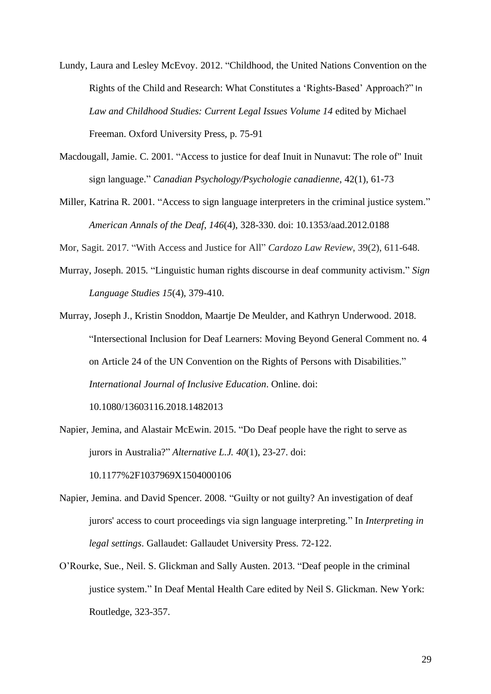- Lundy, Laura and Lesley McEvoy. 2012. "Childhood, the United Nations Convention on the Rights of the Child and Research: What Constitutes a 'Rights-Based' Approach?" In *Law and Childhood Studies: Current Legal Issues Volume 14* edited by Michael Freeman. Oxford University Press, p. 75-91
- Macdougall, Jamie. C. 2001. "Access to justice for deaf Inuit in Nunavut: The role of" Inuit sign language." *Canadian Psychology/Psychologie canadienne*, 42(1), 61-73
- Miller, Katrina R. 2001. "Access to sign language interpreters in the criminal justice system." *American Annals of the Deaf*, *146*(4), 328-330. doi: 10.1353/aad.2012.0188

Mor, Sagit. 2017. "With Access and Justice for All" *Cardozo Law Review*, 39(2), 611-648.

- Murray, Joseph. 2015. "Linguistic human rights discourse in deaf community activism." *Sign Language Studies 15*(4), 379-410.
- Murray, Joseph J., Kristin Snoddon, Maartje De Meulder, and Kathryn Underwood. 2018. "Intersectional Inclusion for Deaf Learners: Moving Beyond General Comment no. 4 on Article 24 of the UN Convention on the Rights of Persons with Disabilities." *International Journal of Inclusive Education*. Online. doi: 10.1080/13603116.2018.1482013

Napier, Jemina, and Alastair McEwin. 2015. "Do Deaf people have the right to serve as

jurors in Australia?" *Alternative L.J. 40*(1), 23-27. doi:

10.1177%2F1037969X1504000106

- Napier, Jemina. and David Spencer. 2008. "Guilty or not guilty? An investigation of deaf jurors' access to court proceedings via sign language interpreting." In *Interpreting in legal settings*. Gallaudet: Gallaudet University Press. 72-122.
- O'Rourke, Sue., Neil. S. Glickman and Sally Austen. 2013. "Deaf people in the criminal justice system." In Deaf Mental Health Care edited by Neil S. Glickman. New York: Routledge, 323-357.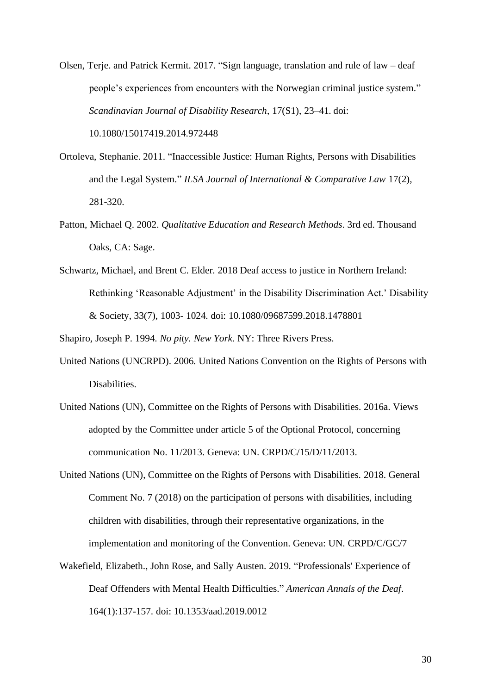Olsen, Terje. and Patrick Kermit. 2017. "Sign language, translation and rule of law – deaf people's experiences from encounters with the Norwegian criminal justice system." *Scandinavian Journal of Disability Research*, 17(S1), 23–41. doi: 10.1080/15017419.2014.972448

- Ortoleva, Stephanie. 2011. "Inaccessible Justice: Human Rights, Persons with Disabilities and the Legal System." *ILSA Journal of International & Comparative Law* 17(2), 281-320.
- Patton, Michael Q. 2002. *Qualitative Education and Research Methods*. 3rd ed. Thousand Oaks, CA: Sage.
- Schwartz, Michael, and Brent C. Elder. 2018 Deaf access to justice in Northern Ireland: Rethinking 'Reasonable Adjustment' in the Disability Discrimination Act.' Disability & Society, 33(7), 1003- 1024. doi: 10.1080/09687599.2018.1478801

Shapiro, Joseph P. 1994. *No pity. New York.* NY: Three Rivers Press.

- United Nations (UNCRPD). 2006. United Nations Convention on the Rights of Persons with Disabilities.
- United Nations (UN), Committee on the Rights of Persons with Disabilities. 2016a. Views adopted by the Committee under article 5 of the Optional Protocol, concerning communication No. 11/2013. Geneva: UN. CRPD/C/15/D/11/2013.
- United Nations (UN), Committee on the Rights of Persons with Disabilities. 2018. General Comment No. 7 (2018) on the participation of persons with disabilities, including children with disabilities, through their representative organizations, in the implementation and monitoring of the Convention. Geneva: UN. CRPD/C/GC/7
- Wakefield, Elizabeth., John Rose, and Sally Austen. 2019. "Professionals' Experience of Deaf Offenders with Mental Health Difficulties." *American Annals of the Deaf*. 164(1):137-157. doi: 10.1353/aad.2019.0012